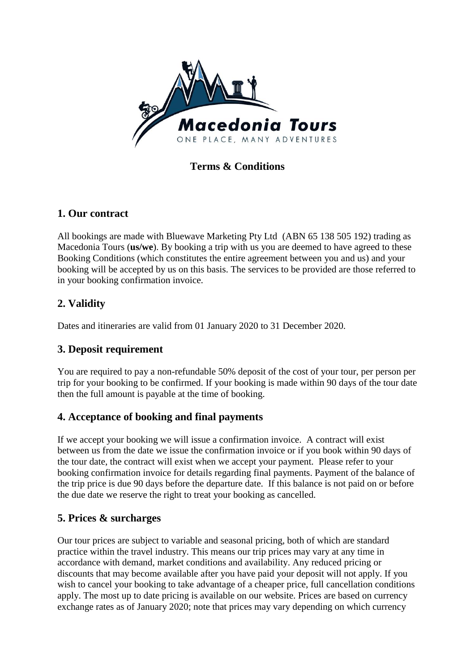

**Terms & Conditions**

## **1. Our contract**

All bookings are made with Bluewave Marketing Pty Ltd (ABN 65 138 505 192) trading as Macedonia Tours (**us/we**). By booking a trip with us you are deemed to have agreed to these Booking Conditions (which constitutes the entire agreement between you and us) and your booking will be accepted by us on this basis. The services to be provided are those referred to in your booking confirmation invoice.

# **2. Validity**

Dates and itineraries are valid from 01 January 2020 to 31 December 2020.

#### **3. Deposit requirement**

You are required to pay a non-refundable 50% deposit of the cost of your tour, per person per trip for your booking to be confirmed. If your booking is made within 90 days of the tour date then the full amount is payable at the time of booking.

#### **4. Acceptance of booking and final payments**

If we accept your booking we will issue a confirmation invoice. A contract will exist between us from the date we issue the confirmation invoice or if you book within 90 days of the tour date, the contract will exist when we accept your payment. Please refer to your booking confirmation invoice for details regarding final payments. Payment of the balance of the trip price is due 90 days before the departure date. If this balance is not paid on or before the due date we reserve the right to treat your booking as cancelled.

#### **5. Prices & surcharges**

Our tour prices are subject to variable and seasonal pricing, both of which are standard practice within the travel industry. This means our trip prices may vary at any time in accordance with demand, market conditions and availability. Any reduced pricing or discounts that may become available after you have paid your deposit will not apply. If you wish to cancel your booking to take advantage of a cheaper price, full cancellation conditions apply. The most up to date pricing is available on our website. Prices are based on currency exchange rates as of January 2020; note that prices may vary depending on which currency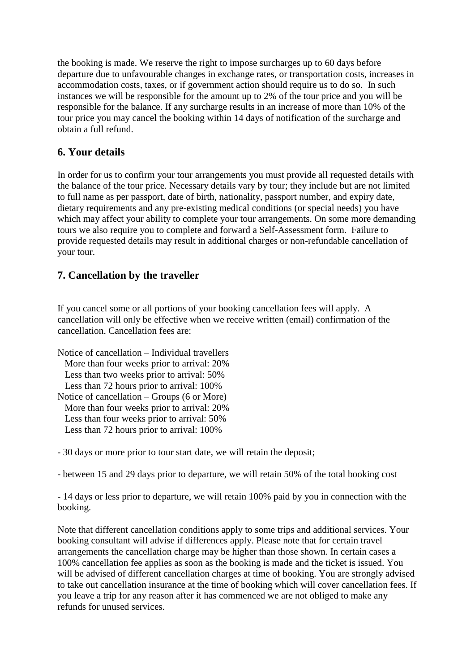the booking is made. We reserve the right to impose surcharges up to 60 days before departure due to unfavourable changes in exchange rates, or transportation costs, increases in accommodation costs, taxes, or if government action should require us to do so. In such instances we will be responsible for the amount up to 2% of the tour price and you will be responsible for the balance. If any surcharge results in an increase of more than 10% of the tour price you may cancel the booking within 14 days of notification of the surcharge and obtain a full refund.

#### **6. Your details**

In order for us to confirm your tour arrangements you must provide all requested details with the balance of the tour price. Necessary details vary by tour; they include but are not limited to full name as per passport, date of birth, nationality, passport number, and expiry date, dietary requirements and any pre-existing medical conditions (or special needs) you have which may affect your ability to complete your tour arrangements. On some more demanding tours we also require you to complete and forward a Self-Assessment form. Failure to provide requested details may result in additional charges or non-refundable cancellation of your tour.

## **7. Cancellation by the traveller**

If you cancel some or all portions of your booking cancellation fees will apply. A cancellation will only be effective when we receive written (email) confirmation of the cancellation. Cancellation fees are:

Notice of cancellation – Individual travellers More than four weeks prior to arrival: 20% Less than two weeks prior to arrival: 50% Less than 72 hours prior to arrival: 100% Notice of cancellation – Groups (6 or More) More than four weeks prior to arrival: 20% Less than four weeks prior to arrival: 50% Less than 72 hours prior to arrival: 100%

- 30 days or more prior to tour start date, we will retain the deposit;

- between 15 and 29 days prior to departure, we will retain 50% of the total booking cost

- 14 days or less prior to departure, we will retain 100% paid by you in connection with the booking.

Note that different cancellation conditions apply to some trips and additional services. Your booking consultant will advise if differences apply. Please note that for certain travel arrangements the cancellation charge may be higher than those shown. In certain cases a 100% cancellation fee applies as soon as the booking is made and the ticket is issued. You will be advised of different cancellation charges at time of booking. You are strongly advised to take out cancellation insurance at the time of booking which will cover cancellation fees. If you leave a trip for any reason after it has commenced we are not obliged to make any refunds for unused services.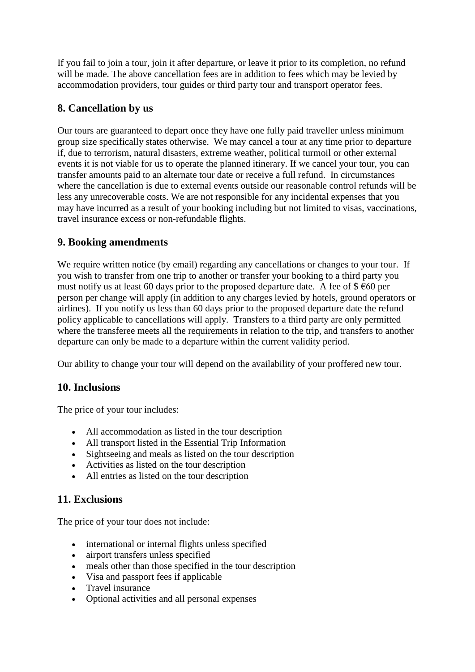If you fail to join a tour, join it after departure, or leave it prior to its completion, no refund will be made. The above cancellation fees are in addition to fees which may be levied by accommodation providers, tour guides or third party tour and transport operator fees.

#### **8. Cancellation by us**

Our tours are guaranteed to depart once they have one fully paid traveller unless minimum group size specifically states otherwise. We may cancel a tour at any time prior to departure if, due to terrorism, natural disasters, extreme weather, political turmoil or other external events it is not viable for us to operate the planned itinerary. If we cancel your tour, you can transfer amounts paid to an alternate tour date or receive a full refund. In circumstances where the cancellation is due to external events outside our reasonable control refunds will be less any unrecoverable costs. We are not responsible for any incidental expenses that you may have incurred as a result of your booking including but not limited to visas, vaccinations, travel insurance excess or non-refundable flights.

#### **9. Booking amendments**

We require written notice (by email) regarding any cancellations or changes to your tour. If you wish to transfer from one trip to another or transfer your booking to a third party you must notify us at least 60 days prior to the proposed departure date. A fee of  $\frac{1}{2}$  €60 per person per change will apply (in addition to any charges levied by hotels, ground operators or airlines). If you notify us less than 60 days prior to the proposed departure date the refund policy applicable to cancellations will apply. Transfers to a third party are only permitted where the transferee meets all the requirements in relation to the trip, and transfers to another departure can only be made to a departure within the current validity period.

Our ability to change your tour will depend on the availability of your proffered new tour.

#### **10. Inclusions**

The price of your tour includes:

- All accommodation as listed in the tour description
- All transport listed in the Essential Trip Information
- Sightseeing and meals as listed on the tour description
- Activities as listed on the tour description
- All entries as listed on the tour description

## **11. Exclusions**

The price of your tour does not include:

- international or internal flights unless specified
- airport transfers unless specified
- meals other than those specified in the tour description
- Visa and passport fees if applicable
- Travel insurance
- Optional activities and all personal expenses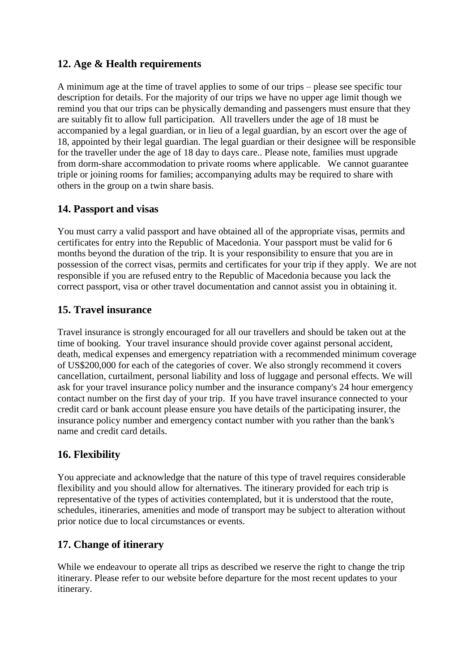#### **12. Age & Health requirements**

A minimum age at the time of travel applies to some of our trips – please see specific tour description for details. For the majority of our trips we have no upper age limit though we remind you that our trips can be physically demanding and passengers must ensure that they are suitably fit to allow full participation. All travellers under the age of 18 must be accompanied by a legal guardian, or in lieu of a legal guardian, by an escort over the age of 18, appointed by their legal guardian. The legal guardian or their designee will be responsible for the traveller under the age of 18 day to days care.. Please note, families must upgrade from dorm-share accommodation to private rooms where applicable. We cannot guarantee triple or joining rooms for families; accompanying adults may be required to share with others in the group on a twin share basis.

#### **14. Passport and visas**

You must carry a valid passport and have obtained all of the appropriate visas, permits and certificates for entry into the Republic of Macedonia. Your passport must be valid for 6 months beyond the duration of the trip. It is your responsibility to ensure that you are in possession of the correct visas, permits and certificates for your trip if they apply. We are not responsible if you are refused entry to the Republic of Macedonia because you lack the correct passport, visa or other travel documentation and cannot assist you in obtaining it.

## **15. Travel insurance**

Travel insurance is strongly encouraged for all our travellers and should be taken out at the time of booking. Your travel insurance should provide cover against personal accident, death, medical expenses and emergency repatriation with a recommended minimum coverage of US\$200,000 for each of the categories of cover. We also strongly recommend it covers cancellation, curtailment, personal liability and loss of luggage and personal effects. We will ask for your travel insurance policy number and the insurance company's 24 hour emergency contact number on the first day of your trip. If you have travel insurance connected to your credit card or bank account please ensure you have details of the participating insurer, the insurance policy number and emergency contact number with you rather than the bank's name and credit card details.

## **16. Flexibility**

You appreciate and acknowledge that the nature of this type of travel requires considerable flexibility and you should allow for alternatives. The itinerary provided for each trip is representative of the types of activities contemplated, but it is understood that the route, schedules, itineraries, amenities and mode of transport may be subject to alteration without prior notice due to local circumstances or events.

## **17. Change of itinerary**

While we endeavour to operate all trips as described we reserve the right to change the trip itinerary. Please refer to our website before departure for the most recent updates to your itinerary.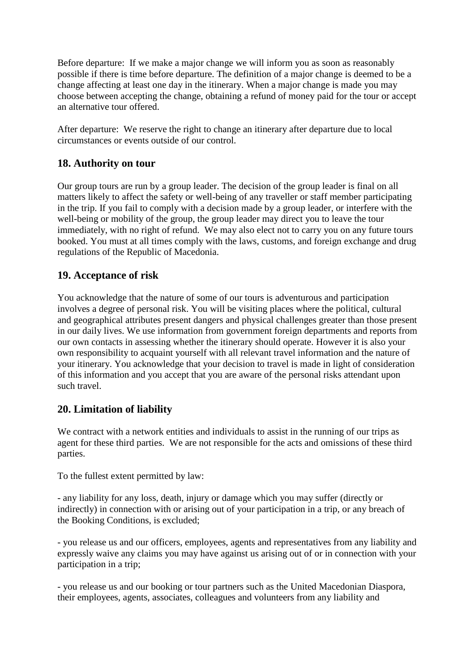Before departure: If we make a major change we will inform you as soon as reasonably possible if there is time before departure. The definition of a major change is deemed to be a change affecting at least one day in the itinerary. When a major change is made you may choose between accepting the change, obtaining a refund of money paid for the tour or accept an alternative tour offered.

After departure: We reserve the right to change an itinerary after departure due to local circumstances or events outside of our control.

#### **18. Authority on tour**

Our group tours are run by a group leader. The decision of the group leader is final on all matters likely to affect the safety or well-being of any traveller or staff member participating in the trip. If you fail to comply with a decision made by a group leader, or interfere with the well-being or mobility of the group, the group leader may direct you to leave the tour immediately, with no right of refund. We may also elect not to carry you on any future tours booked. You must at all times comply with the laws, customs, and foreign exchange and drug regulations of the Republic of Macedonia.

#### **19. Acceptance of risk**

You acknowledge that the nature of some of our tours is adventurous and participation involves a degree of personal risk. You will be visiting places where the political, cultural and geographical attributes present dangers and physical challenges greater than those present in our daily lives. We use information from government foreign departments and reports from our own contacts in assessing whether the itinerary should operate. However it is also your own responsibility to acquaint yourself with all relevant travel information and the nature of your itinerary. You acknowledge that your decision to travel is made in light of consideration of this information and you accept that you are aware of the personal risks attendant upon such travel.

#### **20. Limitation of liability**

We contract with a network entities and individuals to assist in the running of our trips as agent for these third parties. We are not responsible for the acts and omissions of these third parties.

To the fullest extent permitted by law:

- any liability for any loss, death, injury or damage which you may suffer (directly or indirectly) in connection with or arising out of your participation in a trip, or any breach of the Booking Conditions, is excluded;

- you release us and our officers, employees, agents and representatives from any liability and expressly waive any claims you may have against us arising out of or in connection with your participation in a trip;

- you release us and our booking or tour partners such as the United Macedonian Diaspora, their employees, agents, associates, colleagues and volunteers from any liability and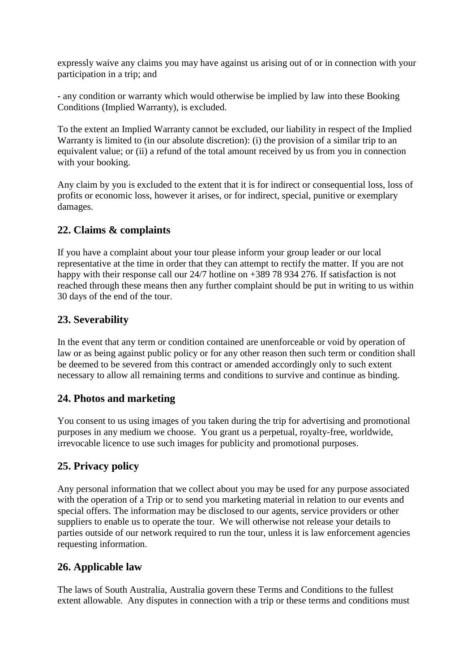expressly waive any claims you may have against us arising out of or in connection with your participation in a trip; and

- any condition or warranty which would otherwise be implied by law into these Booking Conditions (Implied Warranty), is excluded.

To the extent an Implied Warranty cannot be excluded, our liability in respect of the Implied Warranty is limited to (in our absolute discretion): (i) the provision of a similar trip to an equivalent value; or (ii) a refund of the total amount received by us from you in connection with your booking.

Any claim by you is excluded to the extent that it is for indirect or consequential loss, loss of profits or economic loss, however it arises, or for indirect, special, punitive or exemplary damages.

## **22. Claims & complaints**

If you have a complaint about your tour please inform your group leader or our local representative at the time in order that they can attempt to rectify the matter. If you are not happy with their response call our 24/7 hotline on +389 78 934 276. If satisfaction is not reached through these means then any further complaint should be put in writing to us within 30 days of the end of the tour.

## **23. Severability**

In the event that any term or condition contained are unenforceable or void by operation of law or as being against public policy or for any other reason then such term or condition shall be deemed to be severed from this contract or amended accordingly only to such extent necessary to allow all remaining terms and conditions to survive and continue as binding.

## **24. Photos and marketing**

You consent to us using images of you taken during the trip for advertising and promotional purposes in any medium we choose. You grant us a perpetual, royalty-free, worldwide, irrevocable licence to use such images for publicity and promotional purposes.

## **25. Privacy policy**

Any personal information that we collect about you may be used for any purpose associated with the operation of a Trip or to send you marketing material in relation to our events and special offers. The information may be disclosed to our agents, service providers or other suppliers to enable us to operate the tour. We will otherwise not release your details to parties outside of our network required to run the tour, unless it is law enforcement agencies requesting information.

## **26. Applicable law**

The laws of South Australia, Australia govern these Terms and Conditions to the fullest extent allowable. Any disputes in connection with a trip or these terms and conditions must